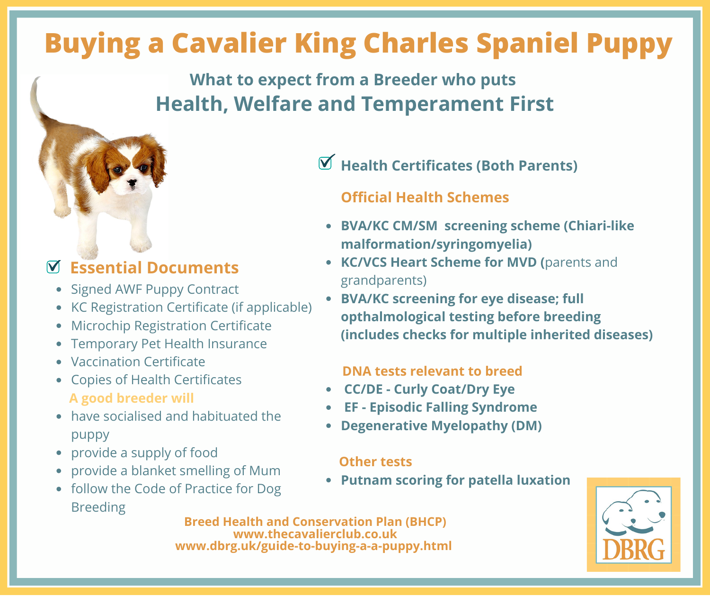## **Buying a Cavalier King Charles Spaniel Puppy**

## **What to expect from a Breeder who puts Health, Welfare and Temperament First**

### **Essential Documents**

- Signed AWF Puppy Contract
- KC Registration Certificate (if applicable)
- Microchip Registration Certificate
- Temporary Pet Health Insurance
- Vaccination Certificate
- Copies of Health Certificates **A good breeder will**
- have socialised and habituated the puppy
- provide a supply of food
- provide a blanket smelling of Mum
- follow the Code of Practice for Dog Breeding

## **Health Certificates (Both Parents)**

#### **Official Health Schemes**

- **BVA/KC CM/SM screening scheme (Chiari-like malformation/syringomyelia)**
- **KC/VCS Heart Scheme for MVD (**parents and grandparents)
- **BVA/KC screening for eye disease; full opthalmological testing before breeding (includes checks for multiple inherited diseases)**

#### **DNA tests relevant to breed**

- **CC/DE - Curly Coat/Dry Eye**
- **EF - Episodic Falling Syndrome**
- **Degenerative Myelopathy (DM)**

#### **Other tests**

**Putnam scoring for patella luxation**



**Breed Health and Conservation Plan (BHCP) www.thecavalierclub.co.uk www.dbrg.uk/guide-to-buying-a-a-puppy.html**